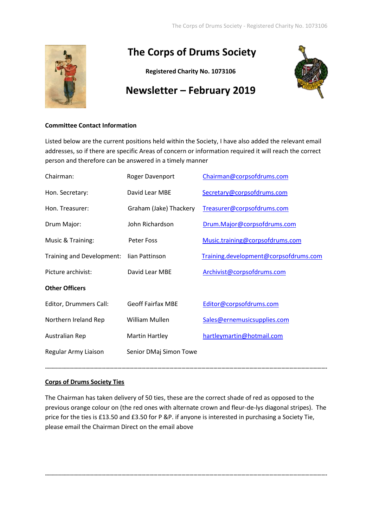

# **The Corps of Drums Society**

**Registered Charity No. 1073106**



## **Newsletter – February 2019**

### **Committee Contact Information**

Listed below are the current positions held within the Society, I have also added the relevant email addresses, so if there are specific Areas of concern or information required it will reach the correct person and therefore can be answered in a timely manner

| Roger Davenport          | Chairman@corpsofdrums.com             |
|--------------------------|---------------------------------------|
| David Lear MBE           | Secretary@corpsofdrums.com            |
| Graham (Jake) Thackery   | Treasurer@corpsofdrums.com            |
| John Richardson          | Drum.Major@corpsofdrums.com           |
| <b>Peter Foss</b>        | Music.training@corpsofdrums.com       |
| lian Pattinson           | Training.development@corpsofdrums.com |
| David Lear MBE           | Archivist@corpsofdrums.com            |
|                          |                                       |
| <b>Geoff Fairfax MBE</b> | Editor@corpsofdrums.com               |
| William Mullen           | Sales@ernemusicsupplies.com           |
| Martin Hartley           | hartleymartin@hotmail.com             |
| Senior DMaj Simon Towe   |                                       |
|                          |                                       |

## **Corps of Drums Society Ties**

The Chairman has taken delivery of 50 ties, these are the correct shade of red as opposed to the previous orange colour on (the red ones with alternate crown and fleur-de-lys diagonal stripes). The price for the ties is £13.50 and £3.50 for P &P. if anyone is interested in purchasing a Society Tie, please email the Chairman Direct on the email above

**………………………………………………………………………………………………………………………………………………………………………………………….**

**………………………………………………………………………………………………………………………………………………………………………………………….**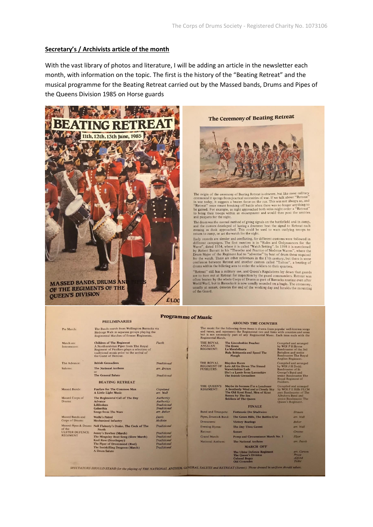#### **Secretary's / Archivists article of the month**

With the vast library of photos and literature, I will be adding an article in the newsletter each month, with information on the topic. The first is the history of the "Beating Retreat" and the musical programme for the Beating Retreat carried out by the Massed bands, Drums and Pipes of the Queens Division 1985 on Horse guards







The origin of the ceremony of Beating Retreat is obscure, but like most military<br>ceremonial it springs from practical necessities of war. If we talk about "Retreat"<br>in war today, it suggests a beaten force on the run. Thi and picquets for the night.

The drum was the normal method of giving signals on the battlefield and in camp, and the custom developed of having a drummer beat the signal to Retreat each<br>evening as dusk approached. This could be used to warn outlying troops to<br>return to camp, or set the watch for the night.

return to camp, or set the watch for the night.<br>Early records are slender and conflicting, for different customs were followed in<br>different campaigns. The first mention is in "Rules and Ordynaunces for the<br>Warte", dated 15

"Retreat" still has a military use, and Queen's Regulations lay down that guards Retreat sum ans a numeraly use, and Queen's Neguations isy down that guards<br>are to turn out at Retreat for inspection by the guard commanders. Retreat was<br>often beaten by the whole Corps of Drums as part of Baracks routine of the Guard.

#### **PRELIMINARIES** The Bands march from Wellington Barracks via<br>Birdcage Walk in separate groups playing the<br>Regimental Marches of former Regiments. Pre March: **Children of The Regiment**<br>A Northumbrian Piper from The Royal<br>Regiment of Fusiliers plays a selection of<br>traditional music prior to the arrival of<br>the Guest of Honour. Fucik Intermezzo: The Advance: **Rritish Grenadiers** Traditional The National Anthem arr. Brown or<br>The General Salute Traditional BEATING RETREAT Massed Bands: Fanfare for The Common Man<br>A Little Light Music Copeland<br>arr. Wall Authority<br>Authority<br>Traditional<br>Traditional<br>arr. Baker The Regimental Call of The Day Massed Corps of<br>Drums: Advance<br>Lillibolero Galanthia<br>Songs from The Wars Massed Bands and Wolfe's Patrol<br>Mechanized Infantry Davis **Corps of Drums** McBain

March on

Salutes:

Corps of Drums.<br>
Massed Pipes & Drums Nechanized Inhartry<br>
Massed Pipes & Drums North<br>
of the<br>
Of the<br>
Of the<br>
North<br>
North<br>
North<br>
North<br>
North<br>
North<br>
North<br>
The Piper of Drums<br>
The Mingulay Boat Song (Slow March)<br>
Neel

Traditional Traditional

# *Traditional*<br>Traditional<br>Traditional<br>Traditional

#### AROUND THE COUNTIES

**AROUND THE COUNTIES**<br>The music for the following three items is drawn from popular well-known song<br>and tunes, and represents the Regimental ties and links with counties and areas<br>but is not necessarily part of any Regimen

| <b>E ROYAL</b><br><b>IGLIAN</b><br><b>GIMENT:</b>     |                                                                                                                                                                     | <b>The Lincolnshire Poacher</b><br><b>The Essex</b><br>La Mandolinata<br><b>Rule Brittannia and Speed The</b><br>Plough                     | Compiled and arranged<br>by WOI P H Byrne<br>Bandmaster of the 3rd<br><b>Battalion</b> and senior<br><b>Bandmaster The Royal</b><br>Anglian Regiment.<br>Compiled and arranged<br>by WOI J H Dodd.<br><b>Bandmaster of St</b><br>George's Band and<br>senior Bandmaster The<br>Royal Regiment of<br>Fusiliers. |                                         |
|-------------------------------------------------------|---------------------------------------------------------------------------------------------------------------------------------------------------------------------|---------------------------------------------------------------------------------------------------------------------------------------------|----------------------------------------------------------------------------------------------------------------------------------------------------------------------------------------------------------------------------------------------------------------------------------------------------------------|-----------------------------------------|
| <b>E ROYAL</b><br><b>GIMENT OF</b><br><b>SILIERS:</b> |                                                                                                                                                                     | <b>Blaydon Races</b><br>Lets All Go Down The Strand<br>Warwickshire Lads<br>She's a Lassie from Lancashire<br><b>The British Grenadiers</b> |                                                                                                                                                                                                                                                                                                                |                                         |
| <b>IE OUEEN'S</b><br><b>GIMENT:</b>                   | Maybe its because I'm a Londoner<br>A Southerly Wind and a Cloudy Sky<br>The Old Kent Road, Men of Kent<br><b>Sussex by The Sea</b><br><b>Soldiers of The Oueen</b> |                                                                                                                                             | Compiled and arranged<br>by WOI P E Hills FLCM<br>psm Bandmaster of The<br>Albuhera Band and<br>senior Bandmaster The<br>Queen's Regiment.                                                                                                                                                                     |                                         |
|                                                       |                                                                                                                                                                     | <b>FINALE</b>                                                                                                                               |                                                                                                                                                                                                                                                                                                                |                                         |
| nd and Trumpets:                                      |                                                                                                                                                                     | <b>Festmusic Der Stadtwien</b>                                                                                                              |                                                                                                                                                                                                                                                                                                                | <b>Strauss</b>                          |
| es, Drums & Band:                                     |                                                                                                                                                                     | The Green Hills, The Battles O'er                                                                                                           |                                                                                                                                                                                                                                                                                                                | arr. Wall                               |
| ummers:                                               |                                                                                                                                                                     | <b>Victory Beatings</b>                                                                                                                     |                                                                                                                                                                                                                                                                                                                | <b>Baker</b>                            |
| ening Hymn:                                           |                                                                                                                                                                     | <b>The Day Thou Gavest</b>                                                                                                                  |                                                                                                                                                                                                                                                                                                                |                                         |
| treat:                                                |                                                                                                                                                                     | <b>Sunset</b>                                                                                                                               |                                                                                                                                                                                                                                                                                                                | Greene                                  |
| and March:                                            |                                                                                                                                                                     | Pomp and Circumstance March No. 1                                                                                                           |                                                                                                                                                                                                                                                                                                                |                                         |
| tional Anthem:                                        |                                                                                                                                                                     | <b>The National Anthem</b>                                                                                                                  |                                                                                                                                                                                                                                                                                                                | arr. Jacob                              |
|                                                       |                                                                                                                                                                     | <b>MARCH OFF</b>                                                                                                                            |                                                                                                                                                                                                                                                                                                                |                                         |
|                                                       |                                                                                                                                                                     | <b>The Ulster Defence Regiment</b><br><b>The Queen's Division</b><br><b>Colonel Bogey</b><br><b>Old Comrades</b>                            |                                                                                                                                                                                                                                                                                                                | arr. Carson<br>Pryce<br>Alford<br>Teike |

SPECTATORS SHOULD STAND for the playing of THE NATIONAL ANTHEM, GENERAL SALUTE and RETREAT (Sunset). Those dressed in uniform sho

**Programme of Music** 

 $\frac{1}{\mathbf{A} \mathbf{B}}$ 

TH<br>RE<br>FU

TH<br>RE

 $\overline{\mathbf{R}}$ 

 $R<sub>0</sub>$ 

 $\overline{G}$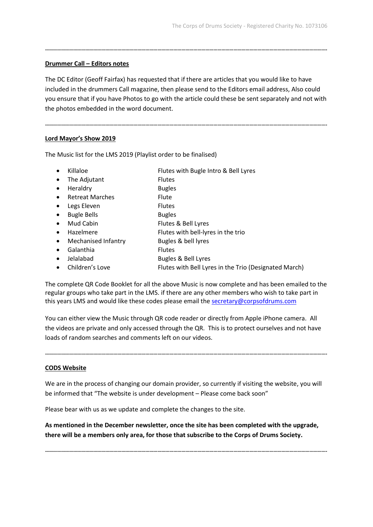#### **Drummer Call – Editors notes**

The DC Editor (Geoff Fairfax) has requested that if there are articles that you would like to have included in the drummers Call magazine, then please send to the Editors email address, Also could you ensure that if you have Photos to go with the article could these be sent separately and not with the photos embedded in the word document.

**………………………………………………………………………………………………………………………………………………………………………………………….**

**………………………………………………………………………………………………………………………………………………………………………………………….**

#### **Lord Mayor's Show 2019**

The Music list for the LMS 2019 (Playlist order to be finalised)

- - Killaloe Flutes with Bugle Intro & Bell Lyres
- The Adjutant Flutes
- Heraldry Bugles
- Retreat Marches Flute
- Legs Eleven Flutes
- Bugle Bells Bugles
- Mud Cabin Flutes & Bell Lyres
- Hazelmere Flutes with bell-lyres in the trio
- Mechanised Infantry Bugles & bell lyres
- Galanthia Flutes
- Jelalabad Bugles & Bell Lyres
- Children's Love Flutes with Bell Lyres in the Trio (Designated March)

The complete QR Code Booklet for all the above Music is now complete and has been emailed to the regular groups who take part in the LMS. if there are any other members who wish to take part in this years LMS and would like these codes please email th[e secretary@corpsofdrums.com](mailto:secretary@corpsofdrums.com)

You can either view the Music through QR code reader or directly from Apple iPhone camera. All the videos are private and only accessed through the QR. This is to protect ourselves and not have loads of random searches and comments left on our videos.

**………………………………………………………………………………………………………………………………………………………………………………………….**

#### **CODS Website**

We are in the process of changing our domain provider, so currently if visiting the website, you will be informed that "The website is under development – Please come back soon"

Please bear with us as we update and complete the changes to the site.

**As mentioned in the December newsletter, once the site has been completed with the upgrade, there will be a members only area, for those that subscribe to the Corps of Drums Society.**

**………………………………………………………………………………………………………………………………………………………………………………………….**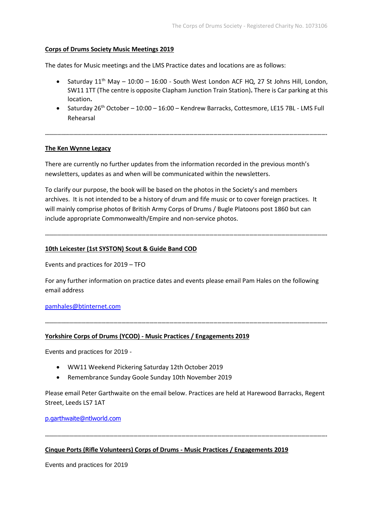#### **Corps of Drums Society Music Meetings 2019**

The dates for Music meetings and the LMS Practice dates and locations are as follows:

- Saturday 11<sup>th</sup> May 10:00 16:00 South West London ACF HQ, 27 St Johns Hill, London, SW11 1TT (The centre is opposite Clapham Junction Train Station)**.** There is Car parking at this location**.**
- Saturday  $26<sup>th</sup>$  October 10:00 16:00 Kendrew Barracks, Cottesmore, LE15 7BL LMS Full Rehearsal

#### **The Ken Wynne Legacy**

**………………………………………………………………………………………………………………………………………………………………………………………….**

There are currently no further updates from the information recorded in the previous month's newsletters, updates as and when will be communicated within the newsletters.

To clarify our purpose, the book will be based on the photos in the Society's and members archives. It is not intended to be a history of drum and fife music or to cover foreign practices. It will mainly comprise photos of British Army Corps of Drums / Bugle Platoons post 1860 but can include appropriate Commonwealth/Empire and non-service photos.

**………………………………………………………………………………………………………………………………………………………………………………………….**

#### **10th Leicester (1st SYSTON) Scout & Guide Band COD**

Events and practices for 2019 – TFO

For any further information on practice dates and events please email Pam Hales on the following email address

**………………………………………………………………………………………………………………………………………………………………………………………….**

[pamhales@btinternet.com](mailto:pamhales@btinternet.com)

#### **Yorkshire Corps of Drums (YCOD) - Music Practices / Engagements 2019**

Events and practices for 2019 -

- WW11 Weekend Pickering Saturday 12th October 2019
- Remembrance Sunday Goole Sunday 10th November 2019

Please email Peter Garthwaite on the email below. Practices are held at Harewood Barracks, Regent Street, Leeds LS7 1AT

**………………………………………………………………………………………………………………………………………………………………………………………….**

[p.garthwaite@ntlworld.com](mailto:p.garthwaite@ntlworld.com)

#### **Cinque Ports (Rifle Volunteers) Corps of Drums - Music Practices / Engagements 2019**

Events and practices for 2019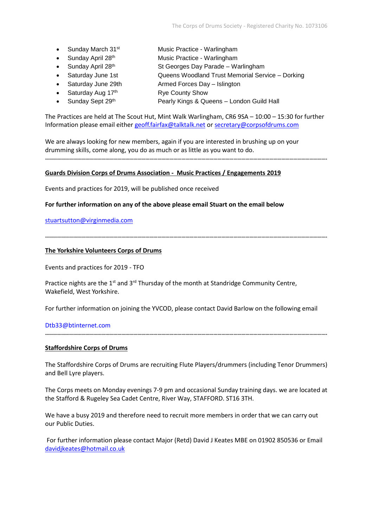- Sunday March 31<sup>st</sup> Music Practice Warlingham
	- Sunday April 28<sup>th</sup> Music Practice Warlingham
- 
- Sunday April  $28<sup>th</sup>$  St Georges Day Parade Warlingham
- Saturday June 1st Queens Woodland Trust Memorial Service Dorking
- Saturday June 29th Armed Forces Day Islington
- Saturday Aug 17<sup>th</sup> Rye County Show
- 
- Sunday Sept 29<sup>th</sup> Pearly Kings & Queens London Guild Hall

The Practices are held at The Scout Hut, Mint Walk Warlingham, CR6 9SA – 10:00 – 15:30 for further Information please email either [geoff.fairfax@talktalk.net](mailto:geoff.fairfax@talktalk.net) o[r secretary@corpsofdrums.com](mailto:secretary@corpsofdrums.com)

We are always looking for new members, again if you are interested in brushing up on your drumming skills, come along, you do as much or as little as you want to do. **………………………………………………………………………………………………………………………………………………………………………………………….**

#### **Guards Division Corps of Drums Association - Music Practices / Engagements 2019**

Events and practices for 2019, will be published once received

**………………………………………………………………………………………………………………………………………………………………………………………….**

**For further information on any of the above please email Stuart on the email below**

[stuartsutton@virginmedia.com](mailto:stuartsutton@virginmedia.com)

#### **The Yorkshire Volunteers Corps of Drums**

Events and practices for 2019 - TFO

Practice nights are the  $1^{st}$  and  $3^{rd}$  Thursday of the month at Standridge Community Centre, Wakefield, West Yorkshire.

For further information on joining the YVCOD, please contact David Barlow on the following email

#### [Dtb33@btinternet.com](mailto:Dtb33@btinternet.com)

#### **Staffordshire Corps of Drums**

The Staffordshire Corps of Drums are recruiting Flute Players/drummers (including Tenor Drummers) and Bell Lyre players.

**………………………………………………………………………………………………………………………………………………………………………………………….**

The Corps meets on Monday evenings 7-9 pm and occasional Sunday training days. we are located at the Stafford & Rugeley Sea Cadet Centre, River Way, STAFFORD. ST16 3TH.

We have a busy 2019 and therefore need to recruit more members in order that we can carry out our Public Duties.

For further information please contact Major (Retd) David J Keates MBE on 01902 850536 or Email [davidjkeates@hotmail.co.uk](mailto:davidjkeates@hotmail.co.uk)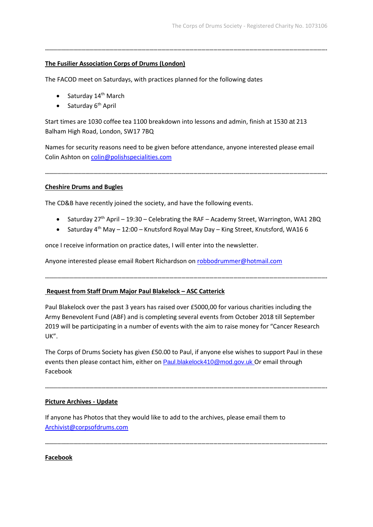### **The Fusilier Association Corps of Drums (London)**

The FACOD meet on Saturdays, with practices planned for the following dates

- Saturday  $14<sup>th</sup>$  March
- Saturday 6<sup>th</sup> April

Start times are 1030 coffee tea 1100 breakdown into lessons and admin, finish at 1530 at 213 Balham High Road, London, SW17 7BQ

**………………………………………………………………………………………………………………………………………………………………………………………….**

Names for security reasons need to be given before attendance, anyone interested please email Colin Ashton on [colin@polishspecialities.com](mailto:colin@polishspecialities.com)

**………………………………………………………………………………………………………………………………………………………………………………………….**

**Cheshire Drums and Bugles**

The CD&B have recently joined the society, and have the following events.

- Saturday 27<sup>th</sup> April 19:30 Celebrating the RAF Academy Street, Warrington, WA1 2BQ
- Saturday 4th May 12:00 Knutsford Royal May Day King Street, Knutsford, WA16 6

once I receive information on practice dates, I will enter into the newsletter.

Anyone interested please email Robert Richardson on [robbodrummer@hotmail.com](mailto:robbodrummer@hotmail.com)

**………………………………………………………………………………………………………………………………………………………………………………………….**

#### **Request from Staff Drum Major Paul Blakelock – ASC Catterick**

Paul Blakelock over the past 3 years has raised over £5000,00 for various charities including the Army Benevolent Fund (ABF) and is completing several events from October 2018 till September 2019 will be participating in a number of events with the aim to raise money for "Cancer Research UK".

The Corps of Drums Society has given £50.00 to Paul, if anyone else wishes to support Paul in these events then please contact him, either on [Paul.blakelock410@mod.gov.uk](mailto:Paul.blakelock410@mod.gov.uk) Or email through Facebook

**………………………………………………………………………………………………………………………………………………………………………………………….**

#### **Picture Archives - Update**

If anyone has Photos that they would like to add to the archives, please email them to [Archivist@corpsofdrums.com](mailto:Archivist@corpsofdrums.com)

**………………………………………………………………………………………………………………………………………………………………………………………….**

**Facebook**